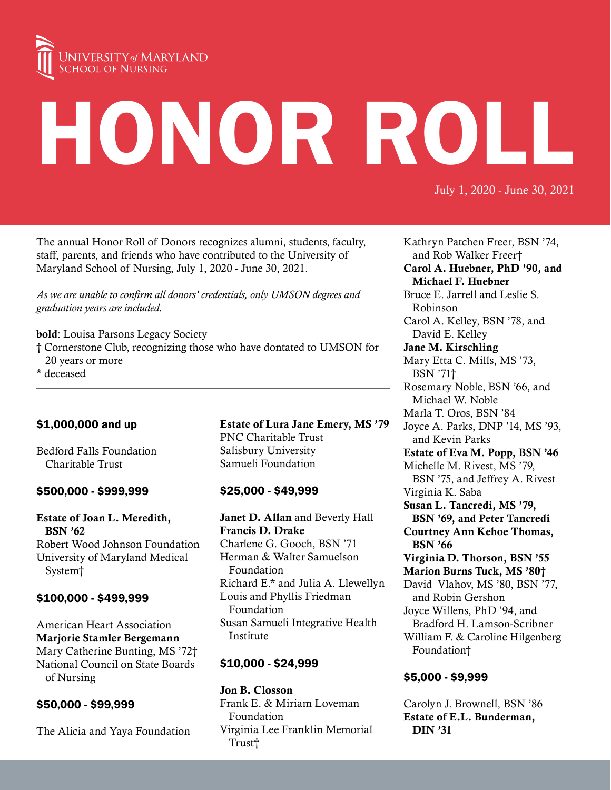

# HONOR ROLL

July 1, 2020 - June 30, 2021

The annual Honor Roll of Donors recognizes alumni, students, faculty, staff, parents, and friends who have contributed to the University of Maryland School of Nursing, July 1, 2020 - June 30, 2021.

*As we are unable to confirm all donors' credentials, only UMSON degrees and graduation years are included.*

bold: Louisa Parsons Legacy Society

- † Cornerstone Club, recognizing those who have dontated to UMSON for 20 years or more
- \* deceased

# \$1,000,000 and up

Bedford Falls Foundation Charitable Trust

## \$500,000 - \$999,999

Estate of Joan L. Meredith, BSN '62 Robert Wood Johnson Foundation University of Maryland Medical System†

# \$100,000 - \$499,999

American Heart Association Marjorie Stamler Bergemann Mary Catherine Bunting, MS '72† National Council on State Boards of Nursing

# \$50,000 - \$99,999

The Alicia and Yaya Foundation

Estate of Lura Jane Emery, MS '79 PNC Charitable Trust Salisbury University Samueli Foundation

# \$25,000 - \$49,999

Janet D. Allan and Beverly Hall Francis D. Drake Charlene G. Gooch, BSN '71 Herman & Walter Samuelson Foundation Richard E.\* and Julia A. Llewellyn Louis and Phyllis Friedman Foundation Susan Samueli Integrative Health Institute

# \$10,000 - \$24,999

Jon B. Closson Frank E. & Miriam Loveman Foundation Virginia Lee Franklin Memorial Trust†

Kathryn Patchen Freer, BSN '74, and Rob Walker Freer† Carol A. Huebner, PhD '90, and Michael F. Huebner Bruce E. Jarrell and Leslie S. Robinson Carol A. Kelley, BSN '78, and David E. Kelley Jane M. Kirschling Mary Etta C. Mills, MS '73, BSN '71† Rosemary Noble, BSN '66, and Michael W. Noble Marla T. Oros, BSN '84 Joyce A. Parks, DNP '14, MS '93, and Kevin Parks Estate of Eva M. Popp, BSN '46 Michelle M. Rivest, MS '79, BSN '75, and Jeffrey A. Rivest Virginia K. Saba Susan L. Tancredi, MS '79, BSN '69, and Peter Tancredi Courtney Ann Kehoe Thomas, BSN '66 Virginia D. Thorson, BSN '55 Marion Burns Tuck, MS '80† David Vlahov, MS '80, BSN '77, and Robin Gershon Joyce Willens, PhD '94, and Bradford H. Lamson-Scribner William F. & Caroline Hilgenberg Foundation†

# \$5,000 - \$9,999

Carolyn J. Brownell, BSN '86 Estate of E.L. Bunderman, DIN '31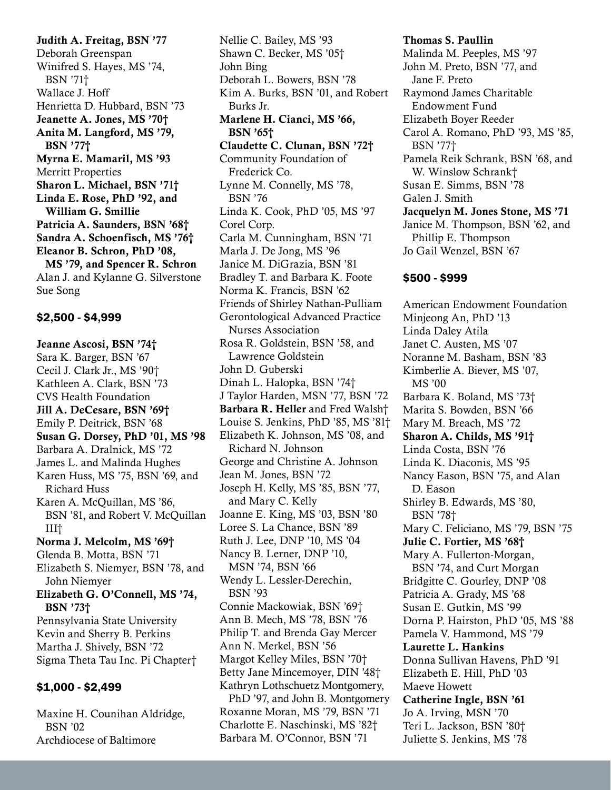Judith A. Freitag, BSN '77 Deborah Greenspan Winifred S. Hayes, MS '74, BSN '71† Wallace J. Hoff Henrietta D. Hubbard, BSN '73 Jeanette A. Jones, MS '70† Anita M. Langford, MS '79, BSN '77† Myrna E. Mamaril, MS '93 Merritt Properties Sharon L. Michael, BSN '71† Linda E. Rose, PhD '92, and William G. Smillie Patricia A. Saunders, BSN '68† Sandra A. Schoenfisch, MS '76† Eleanor B. Schron, PhD '08, MS '79, and Spencer R. Schron Alan J. and Kylanne G. Silverstone Sue Song

## \$2,500 - \$4,999

Jeanne Ascosi, BSN '74† Sara K. Barger, BSN '67 Cecil J. Clark Jr., MS '90† Kathleen A. Clark, BSN '73 CVS Health Foundation Jill A. DeCesare, BSN '69† Emily P. Deitrick, BSN '68 Susan G. Dorsey, PhD '01, MS '98 Barbara A. Dralnick, MS '72 James L. and Malinda Hughes Karen Huss, MS '75, BSN '69, and Richard Huss Karen A. McQuillan, MS '86, BSN '81, and Robert V. McQuillan III† Norma J. Melcolm, MS '69† Glenda B. Motta, BSN '71 Elizabeth S. Niemyer, BSN '78, and John Niemyer Elizabeth G. O'Connell, MS '74, BSN '73† Pennsylvania State University Kevin and Sherry B. Perkins Martha J. Shively, BSN '72 Sigma Theta Tau Inc. Pi Chapter† \$1,000 - \$2,499

Maxine H. Counihan Aldridge, BSN '02 Archdiocese of Baltimore

Nellie C. Bailey, MS '93 Shawn C. Becker, MS '05† John Bing Deborah L. Bowers, BSN '78 Kim A. Burks, BSN '01, and Robert Burks Jr. Marlene H. Cianci, MS '66, BSN '65† Claudette C. Clunan, BSN '72† Community Foundation of Frederick Co. Lynne M. Connelly, MS '78, BSN '76 Linda K. Cook, PhD '05, MS '97 Corel Corp. Carla M. Cunningham, BSN '71 Marla J. De Jong, MS '96 Janice M. DiGrazia, BSN '81 Bradley T. and Barbara K. Foote Norma K. Francis, BSN '62 Friends of Shirley Nathan-Pulliam Gerontological Advanced Practice Nurses Association Rosa R. Goldstein, BSN '58, and Lawrence Goldstein John D. Guberski Dinah L. Halopka, BSN '74† J Taylor Harden, MSN '77, BSN '72 Barbara R. Heller and Fred Walsh† Louise S. Jenkins, PhD '85, MS '81† Elizabeth K. Johnson, MS '08, and Richard N. Johnson George and Christine A. Johnson Jean M. Jones, BSN '72 Joseph H. Kelly, MS '85, BSN '77, and Mary C. Kelly Joanne E. King, MS '03, BSN '80 Loree S. La Chance, BSN '89 Ruth J. Lee, DNP '10, MS '04 Nancy B. Lerner, DNP '10, MSN '74, BSN '66 Wendy L. Lessler-Derechin, BSN '93 Connie Mackowiak, BSN '69† Ann B. Mech, MS '78, BSN '76 Philip T. and Brenda Gay Mercer Ann N. Merkel, BSN '56 Margot Kelley Miles, BSN '70† Betty Jane Mincemoyer, DIN '48† Kathryn Lothschuetz Montgomery, PhD '97, and John B. Montgomery Roxanne Moran, MS '79, BSN '71 Charlotte E. Naschinski, MS '82† Barbara M. O'Connor, BSN '71

#### Thomas S. Paullin

Malinda M. Peeples, MS '97 John M. Preto, BSN '77, and Jane F. Preto Raymond James Charitable Endowment Fund Elizabeth Boyer Reeder Carol A. Romano, PhD '93, MS '85, BSN '77† Pamela Reik Schrank, BSN '68, and W. Winslow Schrank† Susan E. Simms, BSN '78 Galen J. Smith Jacquelyn M. Jones Stone, MS '71 Janice M. Thompson, BSN '62, and Phillip E. Thompson Jo Gail Wenzel, BSN '67

#### \$500 - \$999

American Endowment Foundation Minjeong An, PhD '13 Linda Daley Atila Janet C. Austen, MS '07 Noranne M. Basham, BSN '83 Kimberlie A. Biever, MS '07, MS '00 Barbara K. Boland, MS '73† Marita S. Bowden, BSN '66 Mary M. Breach, MS '72 Sharon A. Childs, MS '91† Linda Costa, BSN '76 Linda K. Diaconis, MS '95 Nancy Eason, BSN '75, and Alan D. Eason Shirley B. Edwards, MS '80, BSN '78† Mary C. Feliciano, MS '79, BSN '75 Julie C. Fortier, MS '68† Mary A. Fullerton-Morgan, BSN '74, and Curt Morgan Bridgitte C. Gourley, DNP '08 Patricia A. Grady, MS '68 Susan E. Gutkin, MS '99 Dorna P. Hairston, PhD '05, MS '88 Pamela V. Hammond, MS '79 Laurette L. Hankins Donna Sullivan Havens, PhD '91 Elizabeth E. Hill, PhD '03 Maeve Howett Catherine Ingle, BSN '61 Jo A. Irving, MSN '70 Teri L. Jackson, BSN '80† Juliette S. Jenkins, MS '78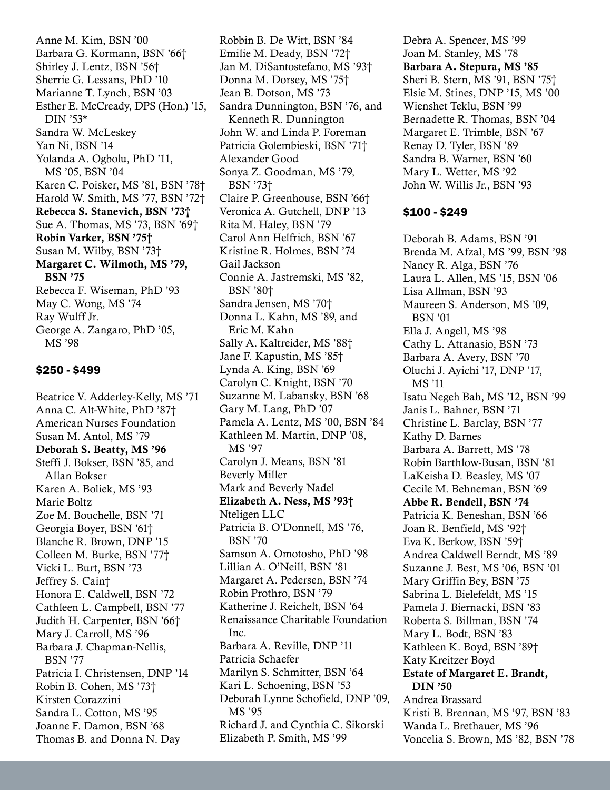Anne M. Kim, BSN '00 Barbara G. Kormann, BSN '66† Shirley J. Lentz, BSN '56† Sherrie G. Lessans, PhD '10 Marianne T. Lynch, BSN '03 Esther E. McCready, DPS (Hon.) '15, DIN '53\* Sandra W. McLeskey Yan Ni, BSN '14 Yolanda A. Ogbolu, PhD '11, MS '05, BSN '04 Karen C. Poisker, MS '81, BSN '78† Harold W. Smith, MS '77, BSN '72† Rebecca S. Stanevich, BSN '73† Sue A. Thomas, MS '73, BSN '69† Robin Varker, BSN '75† Susan M. Wilby, BSN '73† Margaret C. Wilmoth, MS '79, BSN '75 Rebecca F. Wiseman, PhD '93 May C. Wong, MS '74 Ray Wulff Jr. George A. Zangaro, PhD '05, MS '98

## \$250 - \$499

Beatrice V. Adderley-Kelly, MS '71 Anna C. Alt-White, PhD '87† American Nurses Foundation Susan M. Antol, MS '79 Deborah S. Beatty, MS '96 Steffi J. Bokser, BSN '85, and Allan Bokser Karen A. Boliek, MS '93 Marie Boltz Zoe M. Bouchelle, BSN '71 Georgia Boyer, BSN '61† Blanche R. Brown, DNP '15 Colleen M. Burke, BSN '77† Vicki L. Burt, BSN '73 Jeffrey S. Cain† Honora E. Caldwell, BSN '72 Cathleen L. Campbell, BSN '77 Judith H. Carpenter, BSN '66† Mary J. Carroll, MS '96 Barbara J. Chapman-Nellis, BSN '77 Patricia I. Christensen, DNP '14 Robin B. Cohen, MS '73† Kirsten Corazzini Sandra L. Cotton, MS '95 Joanne F. Damon, BSN '68 Thomas B. and Donna N. Day

Robbin B. De Witt, BSN '84 Emilie M. Deady, BSN '72† Jan M. DiSantostefano, MS '93† Donna M. Dorsey, MS '75† Jean B. Dotson, MS '73 Sandra Dunnington, BSN '76, and Kenneth R. Dunnington John W. and Linda P. Foreman Patricia Golembieski, BSN '71† Alexander Good Sonya Z. Goodman, MS '79, BSN '73† Claire P. Greenhouse, BSN '66† Veronica A. Gutchell, DNP '13 Rita M. Haley, BSN '79 Carol Ann Helfrich, BSN '67 Kristine R. Holmes, BSN '74 Gail Jackson Connie A. Jastremski, MS '82, BSN '80† Sandra Jensen, MS '70† Donna L. Kahn, MS '89, and Eric M. Kahn Sally A. Kaltreider, MS '88† Jane F. Kapustin, MS '85† Lynda A. King, BSN '69 Carolyn C. Knight, BSN '70 Suzanne M. Labansky, BSN '68 Gary M. Lang, PhD '07 Pamela A. Lentz, MS '00, BSN '84 Kathleen M. Martin, DNP '08, MS '97 Carolyn J. Means, BSN '81 Beverly Miller Mark and Beverly Nadel Elizabeth A. Ness, MS '93† Nteligen LLC Patricia B. O'Donnell, MS '76, BSN '70 Samson A. Omotosho, PhD '98 Lillian A. O'Neill, BSN '81 Margaret A. Pedersen, BSN '74 Robin Prothro, BSN '79 Katherine J. Reichelt, BSN '64 Renaissance Charitable Foundation Inc. Barbara A. Reville, DNP '11 Patricia Schaefer Marilyn S. Schmitter, BSN '64 Kari L. Schoening, BSN '53 Deborah Lynne Schofield, DNP '09, MS '95 Richard J. and Cynthia C. Sikorski Elizabeth P. Smith, MS '99

Debra A. Spencer, MS '99 Joan M. Stanley, MS '78 Barbara A. Stepura, MS '85 Sheri B. Stern, MS '91, BSN '75† Elsie M. Stines, DNP '15, MS '00 Wienshet Teklu, BSN '99 Bernadette R. Thomas, BSN '04 Margaret E. Trimble, BSN '67 Renay D. Tyler, BSN '89 Sandra B. Warner, BSN '60 Mary L. Wetter, MS '92 John W. Willis Jr., BSN '93

#### \$100 - \$249

Deborah B. Adams, BSN '91 Brenda M. Afzal, MS '99, BSN '98 Nancy R. Alga, BSN '76 Laura L. Allen, MS '15, BSN '06 Lisa Allman, BSN '93 Maureen S. Anderson, MS '09, BSN '01 Ella J. Angell, MS '98 Cathy L. Attanasio, BSN '73 Barbara A. Avery, BSN '70 Oluchi J. Ayichi '17, DNP '17, MS '11 Isatu Negeh Bah, MS '12, BSN '99 Janis L. Bahner, BSN '71 Christine L. Barclay, BSN '77 Kathy D. Barnes Barbara A. Barrett, MS '78 Robin Barthlow-Busan, BSN '81 LaKeisha D. Beasley, MS '07 Cecile M. Behneman, BSN '69 Abbe R. Bendell, BSN '74 Patricia K. Beneshan, BSN '66 Joan R. Benfield, MS '92† Eva K. Berkow, BSN '59† Andrea Caldwell Berndt, MS '89 Suzanne J. Best, MS '06, BSN '01 Mary Griffin Bey, BSN '75 Sabrina L. Bielefeldt, MS '15 Pamela J. Biernacki, BSN '83 Roberta S. Billman, BSN '74 Mary L. Bodt, BSN '83 Kathleen K. Boyd, BSN '89† Katy Kreitzer Boyd Estate of Margaret E. Brandt, DIN '50 Andrea Brassard Kristi B. Brennan, MS '97, BSN '83 Wanda L. Brethauer, MS '96 Voncelia S. Brown, MS '82, BSN '78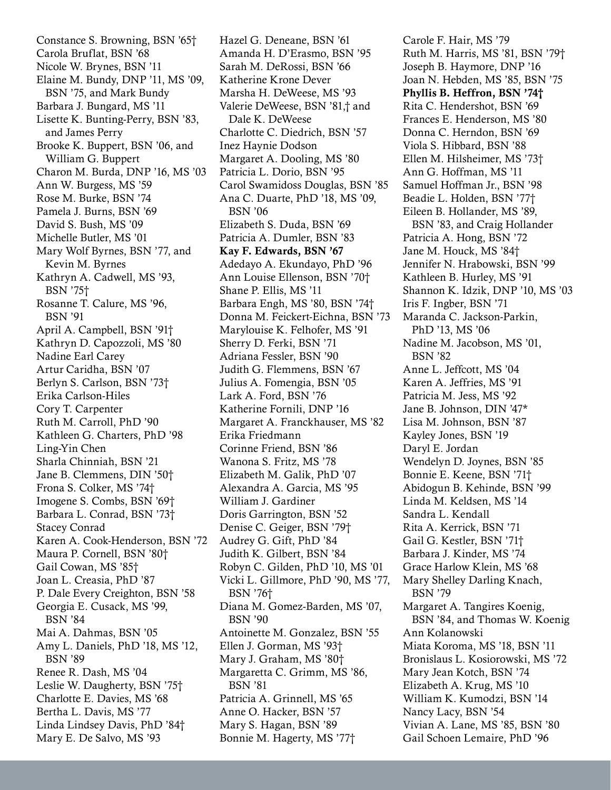Constance S. Browning, BSN '65† Carola Bruflat, BSN '68 Nicole W. Brynes, BSN '11 Elaine M. Bundy, DNP '11, MS '09, BSN '75, and Mark Bundy Barbara J. Bungard, MS '11 Lisette K. Bunting-Perry, BSN '83, and James Perry Brooke K. Buppert, BSN '06, and William G. Buppert Charon M. Burda, DNP '16, MS '03 Ann W. Burgess, MS '59 Rose M. Burke, BSN '74 Pamela J. Burns, BSN '69 David S. Bush, MS '09 Michelle Butler, MS '01 Mary Wolf Byrnes, BSN '77, and Kevin M. Byrnes Kathryn A. Cadwell, MS '93, BSN '75† Rosanne T. Calure, MS '96, BSN '91 April A. Campbell, BSN '91† Kathryn D. Capozzoli, MS '80 Nadine Earl Carey Artur Caridha, BSN '07 Berlyn S. Carlson, BSN '73† Erika Carlson-Hiles Cory T. Carpenter Ruth M. Carroll, PhD '90 Kathleen G. Charters, PhD '98 Ling-Yin Chen Sharla Chinniah, BSN '21 Jane B. Clemmens, DIN '50† Frona S. Colker, MS '74† Imogene S. Combs, BSN '69† Barbara L. Conrad, BSN '73† Stacey Conrad Karen A. Cook-Henderson, BSN '72 Maura P. Cornell, BSN '80† Gail Cowan, MS '85† Joan L. Creasia, PhD '87 P. Dale Every Creighton, BSN '58 Georgia E. Cusack, MS '99, BSN '84 Mai A. Dahmas, BSN '05 Amy L. Daniels, PhD '18, MS '12, BSN '89 Renee R. Dash, MS '04 Leslie W. Daugherty, BSN '75† Charlotte E. Davies, MS '68 Bertha L. Davis, MS '77 Linda Lindsey Davis, PhD '84† Mary E. De Salvo, MS '93

Hazel G. Deneane, BSN '61 Amanda H. D'Erasmo, BSN '95 Sarah M. DeRossi, BSN '66 Katherine Krone Dever Marsha H. DeWeese, MS '93 Valerie DeWeese, BSN '81,† and Dale K. DeWeese Charlotte C. Diedrich, BSN '57 Inez Haynie Dodson Margaret A. Dooling, MS '80 Patricia L. Dorio, BSN '95 Carol Swamidoss Douglas, BSN '85 Ana C. Duarte, PhD '18, MS '09, BSN '06 Elizabeth S. Duda, BSN '69 Patricia A. Dumler, BSN '83 Kay F. Edwards, BSN '67 Adedayo A. Ekundayo, PhD '96 Ann Louise Ellenson, BSN '70† Shane P. Ellis, MS '11 Barbara Engh, MS '80, BSN '74† Donna M. Feickert-Eichna, BSN '73 Marylouise K. Felhofer, MS '91 Sherry D. Ferki, BSN '71 Adriana Fessler, BSN '90 Judith G. Flemmens, BSN '67 Julius A. Fomengia, BSN '05 Lark A. Ford, BSN '76 Katherine Fornili, DNP '16 Margaret A. Franckhauser, MS '82 Erika Friedmann Corinne Friend, BSN '86 Wanona S. Fritz, MS '78 Elizabeth M. Galik, PhD '07 Alexandra A. Garcia, MS '95 William J. Gardiner Doris Garrington, BSN '52 Denise C. Geiger, BSN '79† Audrey G. Gift, PhD '84 Judith K. Gilbert, BSN '84 Robyn C. Gilden, PhD '10, MS '01 Vicki L. Gillmore, PhD '90, MS '77, BSN '76† Diana M. Gomez-Barden, MS '07, BSN '90 Antoinette M. Gonzalez, BSN '55 Ellen J. Gorman, MS '93† Mary J. Graham, MS '80† Margaretta C. Grimm, MS '86, BSN '81 Patricia A. Grinnell, MS '65 Anne O. Hacker, BSN '57 Mary S. Hagan, BSN '89 Bonnie M. Hagerty, MS '77†

Carole F. Hair, MS '79 Ruth M. Harris, MS '81, BSN '79† Joseph B. Haymore, DNP '16 Joan N. Hebden, MS '85, BSN '75 Phyllis B. Heffron, BSN '74† Rita C. Hendershot, BSN '69 Frances E. Henderson, MS '80 Donna C. Herndon, BSN '69 Viola S. Hibbard, BSN '88 Ellen M. Hilsheimer, MS '73† Ann G. Hoffman, MS '11 Samuel Hoffman Jr., BSN '98 Beadie L. Holden, BSN '77† Eileen B. Hollander, MS '89, BSN '83, and Craig Hollander Patricia A. Hong, BSN '72 Jane M. Houck, MS '84† Jennifer N. Hrabowski, BSN '99 Kathleen B. Hurley, MS '91 Shannon K. Idzik, DNP '10, MS '03 Iris F. Ingber, BSN '71 Maranda C. Jackson-Parkin, PhD '13, MS '06 Nadine M. Jacobson, MS '01, BSN '82 Anne L. Jeffcott, MS '04 Karen A. Jeffries, MS '91 Patricia M. Jess, MS '92 Jane B. Johnson, DIN '47\* Lisa M. Johnson, BSN '87 Kayley Jones, BSN '19 Daryl E. Jordan Wendelyn D. Joynes, BSN '85 Bonnie E. Keene, BSN '71† Abidogun B. Kehinde, BSN '99 Linda M. Keldsen, MS '14 Sandra L. Kendall Rita A. Kerrick, BSN '71 Gail G. Kestler, BSN '71† Barbara J. Kinder, MS '74 Grace Harlow Klein, MS '68 Mary Shelley Darling Knach, BSN '79 Margaret A. Tangires Koenig, BSN '84, and Thomas W. Koenig Ann Kolanowski Miata Koroma, MS '18, BSN '11 Bronislaus L. Kosiorowski, MS '72 Mary Jean Kotch, BSN '74 Elizabeth A. Krug, MS '10 William K. Kumodzi, BSN '14 Nancy Lacy, BSN '54 Vivian A. Lane, MS '85, BSN '80 Gail Schoen Lemaire, PhD '96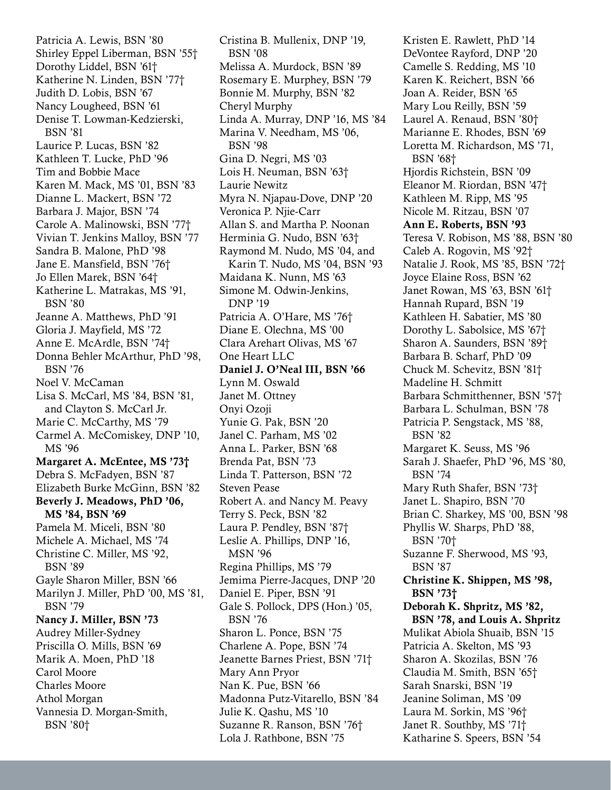Patricia A. Lewis, BSN '80 Shirley Eppel Liberman, BSN '55† Dorothy Liddel, BSN '61† Katherine N. Linden, BSN '77† Judith D. Lobis, BSN '67 Nancy Lougheed, BSN '61 Denise T. Lowman-Kedzierski, BSN '81 Laurice P. Lucas, BSN '82 Kathleen T. Lucke, PhD '96 Tim and Bobbie Mace Karen M. Mack, MS '01, BSN '83 Dianne L. Mackert, BSN '72 Barbara J. Major, BSN '74 Carole A. Malinowski, BSN '77† Vivian T. Jenkins Malloy, BSN '77 Sandra B. Malone, PhD '98 Jane E. Mansfield, BSN '76† Jo Ellen Marek, BSN '64† Katherine L. Matrakas, MS '91, BSN '80 Jeanne A. Matthews, PhD '91 Gloria J. Mayfield, MS '72 Anne E. McArdle, BSN '74† Donna Behler McArthur, PhD '98, BSN '76 Noel V. McCaman Lisa S. McCarl, MS '84, BSN '81, and Clayton S. McCarl Jr. Marie C. McCarthy, MS '79 Carmel A. McComiskey, DNP '10, MS '96 Margaret A. McEntee, MS '73† Debra S. McFadyen, BSN '87 Elizabeth Burke McGinn, BSN '82 Beverly J. Meadows, PhD '06, MS '84, BSN '69 Pamela M. Miceli, BSN '80 Michele A. Michael, MS '74 Christine C. Miller, MS '92, BSN '89 Gayle Sharon Miller, BSN '66 Marilyn J. Miller, PhD '00, MS '81, BSN '79 Nancy J. Miller, BSN '73 Audrey Miller-Sydney Priscilla O. Mills, BSN '69 Marik A. Moen, PhD '18 Carol Moore Charles Moore Athol Morgan Vannesia D. Morgan-Smith, BSN '80†

Cristina B. Mullenix, DNP '19, BSN '08 Melissa A. Murdock, BSN '89 Rosemary E. Murphey, BSN '79 Bonnie M. Murphy, BSN '82 Cheryl Murphy Linda A. Murray, DNP '16, MS '84 Marina V. Needham, MS '06, BSN '98 Gina D. Negri, MS '03 Lois H. Neuman, BSN '63† Laurie Newitz Myra N. Njapau-Dove, DNP '20 Veronica P. Njie-Carr Allan S. and Martha P. Noonan Herminia G. Nudo, BSN '63† Raymond M. Nudo, MS '04, and Karin T. Nudo, MS '04, BSN '93 Maidana K. Nunn, MS '63 Simone M. Odwin-Jenkins, DNP '19 Patricia A. O'Hare, MS '76† Diane E. Olechna, MS '00 Clara Arehart Olivas, MS '67 One Heart LLC Daniel J. O'Neal III, BSN '66 Lynn M. Oswald Janet M. Ottney Onyi Ozoji Yunie G. Pak, BSN '20 Janel C. Parham, MS '02 Anna L. Parker, BSN '68 Brenda Pat, BSN '73 Linda T. Patterson, BSN '72 Steven Pease Robert A. and Nancy M. Peavy Terry S. Peck, BSN '82 Laura P. Pendley, BSN '87† Leslie A. Phillips, DNP '16, MSN '96 Regina Phillips, MS '79 Jemima Pierre-Jacques, DNP '20 Daniel E. Piper, BSN '91 Gale S. Pollock, DPS (Hon.) '05, BSN '76 Sharon L. Ponce, BSN '75 Charlene A. Pope, BSN '74 Jeanette Barnes Priest, BSN '71† Mary Ann Pryor Nan K. Pue, BSN '66 Madonna Putz-Vitarello, BSN '84 Julie K. Qashu, MS '10 Suzanne R. Ranson, BSN '76† Lola J. Rathbone, BSN '75

Kristen E. Rawlett, PhD '14 DeVontee Rayford, DNP '20 Camelle S. Redding, MS '10 Karen K. Reichert, BSN '66 Joan A. Reider, BSN '65 Mary Lou Reilly, BSN '59 Laurel A. Renaud, BSN '80† Marianne E. Rhodes, BSN '69 Loretta M. Richardson, MS '71, BSN '68† Hjordis Richstein, BSN '09 Eleanor M. Riordan, BSN '47† Kathleen M. Ripp, MS '95 Nicole M. Ritzau, BSN '07 Ann E. Roberts, BSN '93 Teresa V. Robison, MS '88, BSN '80 Caleb A. Rogovin, MS '92† Natalie J. Rook, MS '85, BSN '72† Joyce Elaine Ross, BSN '62 Janet Rowan, MS '63, BSN '61† Hannah Rupard, BSN '19 Kathleen H. Sabatier, MS '80 Dorothy L. Sabolsice, MS '67† Sharon A. Saunders, BSN '89† Barbara B. Scharf, PhD '09 Chuck M. Schevitz, BSN '81† Madeline H. Schmitt Barbara Schmitthenner, BSN '57† Barbara L. Schulman, BSN '78 Patricia P. Sengstack, MS '88, BSN '82 Margaret K. Seuss, MS '96 Sarah J. Shaefer, PhD '96, MS '80, BSN '74 Mary Ruth Shafer, BSN '73† Janet L. Shapiro, BSN '70 Brian C. Sharkey, MS '00, BSN '98 Phyllis W. Sharps, PhD '88, BSN '70† Suzanne F. Sherwood, MS '93, BSN '87 Christine K. Shippen, MS '98, BSN '73† Deborah K. Shpritz, MS '82, BSN '78, and Louis A. Shpritz Mulikat Abiola Shuaib, BSN '15 Patricia A. Skelton, MS '93 Sharon A. Skozilas, BSN '76 Claudia M. Smith, BSN '65† Sarah Snarski, BSN '19 Jeanine Soliman, MS '09 Laura M. Sorkin, MS '96† Janet R. Southby, MS '71† Katharine S. Speers, BSN '54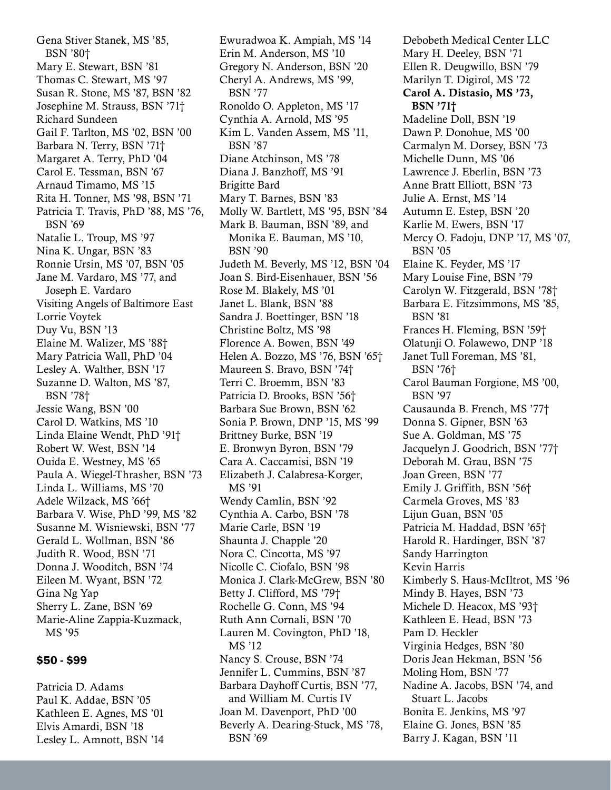Gena Stiver Stanek, MS '85, BSN '80† Mary E. Stewart, BSN '81 Thomas C. Stewart, MS '97 Susan R. Stone, MS '87, BSN '82 Josephine M. Strauss, BSN '71† Richard Sundeen Gail F. Tarlton, MS '02, BSN '00 Barbara N. Terry, BSN '71† Margaret A. Terry, PhD '04 Carol E. Tessman, BSN '67 Arnaud Timamo, MS '15 Rita H. Tonner, MS '98, BSN '71 Patricia T. Travis, PhD '88, MS '76, BSN '69 Natalie L. Troup, MS '97 Nina K. Ungar, BSN '83 Ronnie Ursin, MS '07, BSN '05 Jane M. Vardaro, MS '77, and Joseph E. Vardaro Visiting Angels of Baltimore East Lorrie Voytek Duy Vu, BSN '13 Elaine M. Walizer, MS '88† Mary Patricia Wall, PhD '04 Lesley A. Walther, BSN '17 Suzanne D. Walton, MS '87, BSN '78† Jessie Wang, BSN '00 Carol D. Watkins, MS '10 Linda Elaine Wendt, PhD '91† Robert W. West, BSN '14 Ouida E. Westney, MS '65 Paula A. Wiegel-Thrasher, BSN '73 Linda L. Williams, MS '70 Adele Wilzack, MS '66† Barbara V. Wise, PhD '99, MS '82 Susanne M. Wisniewski, BSN '77 Gerald L. Wollman, BSN '86 Judith R. Wood, BSN '71 Donna J. Wooditch, BSN '74 Eileen M. Wyant, BSN '72 Gina Ng Yap Sherry L. Zane, BSN '69 Marie-Aline Zappia-Kuzmack, MS '95

## \$50 - \$99

Patricia D. Adams Paul K. Addae, BSN '05 Kathleen E. Agnes, MS '01 Elvis Amardi, BSN '18 Lesley L. Amnott, BSN '14 Ewuradwoa K. Ampiah, MS '14 Erin M. Anderson, MS '10 Gregory N. Anderson, BSN '20 Cheryl A. Andrews, MS '99, BSN '77 Ronoldo O. Appleton, MS '17 Cynthia A. Arnold, MS '95 Kim L. Vanden Assem, MS '11, BSN '87 Diane Atchinson, MS '78 Diana J. Banzhoff, MS '91 Brigitte Bard Mary T. Barnes, BSN '83 Molly W. Bartlett, MS '95, BSN '84 Mark B. Bauman, BSN '89, and Monika E. Bauman, MS '10, BSN '90 Judeth M. Beverly, MS '12, BSN '04 Joan S. Bird-Eisenhauer, BSN '56 Rose M. Blakely, MS '01 Janet L. Blank, BSN '88 Sandra J. Boettinger, BSN '18 Christine Boltz, MS '98 Florence A. Bowen, BSN '49 Helen A. Bozzo, MS '76, BSN '65† Maureen S. Bravo, BSN '74† Terri C. Broemm, BSN '83 Patricia D. Brooks, BSN '56† Barbara Sue Brown, BSN '62 Sonia P. Brown, DNP '15, MS '99 Brittney Burke, BSN '19 E. Bronwyn Byron, BSN '79 Cara A. Caccamisi, BSN '19 Elizabeth J. Calabresa-Korger, MS '91 Wendy Camlin, BSN '92 Cynthia A. Carbo, BSN '78 Marie Carle, BSN '19 Shaunta J. Chapple '20 Nora C. Cincotta, MS '97 Nicolle C. Ciofalo, BSN '98 Monica J. Clark-McGrew, BSN '80 Betty J. Clifford, MS '79† Rochelle G. Conn, MS '94 Ruth Ann Cornali, BSN '70 Lauren M. Covington, PhD '18, MS '12 Nancy S. Crouse, BSN '74 Jennifer L. Cummins, BSN '87 Barbara Dayhoff Curtis, BSN '77, and William M. Curtis IV Joan M. Davenport, PhD '00 Beverly A. Dearing-Stuck, MS '78, BSN '69

Debobeth Medical Center LLC Mary H. Deeley, BSN '71 Ellen R. Deugwillo, BSN '79 Marilyn T. Digirol, MS '72 Carol A. Distasio, MS '73, BSN '71† Madeline Doll, BSN '19 Dawn P. Donohue, MS '00 Carmalyn M. Dorsey, BSN '73 Michelle Dunn, MS '06 Lawrence J. Eberlin, BSN '73 Anne Bratt Elliott, BSN '73 Julie A. Ernst, MS '14 Autumn E. Estep, BSN '20 Karlie M. Ewers, BSN '17 Mercy O. Fadoju, DNP '17, MS '07, BSN '05 Elaine K. Feyder, MS '17 Mary Louise Fine, BSN '79 Carolyn W. Fitzgerald, BSN '78† Barbara E. Fitzsimmons, MS '85, BSN '81 Frances H. Fleming, BSN '59† Olatunji O. Folawewo, DNP '18 Janet Tull Foreman, MS '81, BSN '76† Carol Bauman Forgione, MS '00, BSN '97 Causaunda B. French, MS '77† Donna S. Gipner, BSN '63 Sue A. Goldman, MS '75 Jacquelyn J. Goodrich, BSN '77† Deborah M. Grau, BSN '75 Joan Green, BSN '77 Emily J. Griffith, BSN '56† Carmela Groves, MS '83 Lijun Guan, BSN '05 Patricia M. Haddad, BSN '65† Harold R. Hardinger, BSN '87 Sandy Harrington Kevin Harris Kimberly S. Haus-McIltrot, MS '96 Mindy B. Hayes, BSN '73 Michele D. Heacox, MS '93† Kathleen E. Head, BSN '73 Pam D. Heckler Virginia Hedges, BSN '80 Doris Jean Hekman, BSN '56 Moling Hom, BSN '77 Nadine A. Jacobs, BSN '74, and Stuart L. Jacobs Bonita E. Jenkins, MS '97 Elaine G. Jones, BSN '85 Barry J. Kagan, BSN '11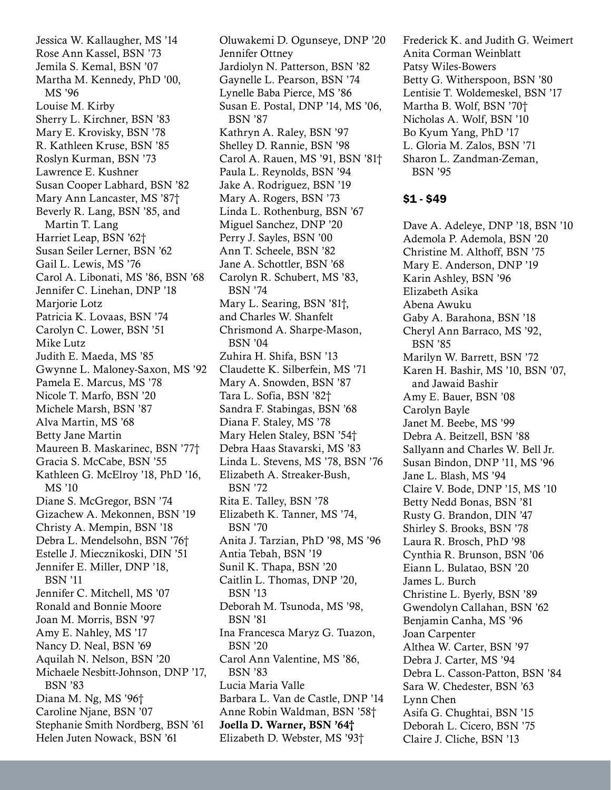Jessica W. Kallaugher, MS '14 Rose Ann Kassel, BSN '73 Jemila S. Kemal, BSN '07 Martha M. Kennedy, PhD '00, MS '96 Louise M. Kirby Sherry L. Kirchner, BSN '83 Mary E. Krovisky, BSN '78 R. Kathleen Kruse, BSN '85 Roslyn Kurman, BSN '73 Lawrence E. Kushner Susan Cooper Labhard, BSN '82 Mary Ann Lancaster, MS '87† Beverly R. Lang, BSN '85, and Martin T. Lang Harriet Leap, BSN '62† Susan Seiler Lerner, BSN '62 Gail L. Lewis, MS '76 Carol A. Libonati, MS '86, BSN '68 Jennifer C. Linehan, DNP '18 Marjorie Lotz Patricia K. Lovaas, BSN '74 Carolyn C. Lower, BSN '51 Mike Lutz Judith E. Maeda, MS '85 Gwynne L. Maloney-Saxon, MS '92 Pamela E. Marcus, MS '78 Nicole T. Marfo, BSN '20 Michele Marsh, BSN '87 Alva Martin, MS '68 Betty Jane Martin Maureen B. Maskarinec, BSN '77† Gracia S. McCabe, BSN '55 Kathleen G. McElroy '18, PhD '16, MS '10 Diane S. McGregor, BSN '74 Gizachew A. Mekonnen, BSN '19 Christy A. Mempin, BSN '18 Debra L. Mendelsohn, BSN '76† Estelle J. Miecznikoski, DIN '51 Jennifer E. Miller, DNP '18, BSN '11 Jennifer C. Mitchell, MS '07 Ronald and Bonnie Moore Joan M. Morris, BSN '97 Amy E. Nahley, MS '17 Nancy D. Neal, BSN '69 Aquilah N. Nelson, BSN '20 Michaele Nesbitt-Johnson, DNP '17, BSN '83 Diana M. Ng, MS '96† Caroline Njane, BSN '07 Stephanie Smith Nordberg, BSN '61 Helen Juten Nowack, BSN '61

Oluwakemi D. Ogunseye, DNP '20 Jennifer Ottney Jardiolyn N. Patterson, BSN '82 Gaynelle L. Pearson, BSN '74 Lynelle Baba Pierce, MS '86 Susan E. Postal, DNP '14, MS '06, BSN '87 Kathryn A. Raley, BSN '97 Shelley D. Rannie, BSN '98 Carol A. Rauen, MS '91, BSN '81† Paula L. Reynolds, BSN '94 Jake A. Rodriguez, BSN '19 Mary A. Rogers, BSN '73 Linda L. Rothenburg, BSN '67 Miguel Sanchez, DNP '20 Perry J. Sayles, BSN '00 Ann T. Scheele, BSN '82 Jane A. Schottler, BSN '68 Carolyn R. Schubert, MS '83, BSN '74 Mary L. Searing, BSN '81†, and Charles W. Shanfelt Chrismond A. Sharpe-Mason, BSN '04 Zuhira H. Shifa, BSN '13 Claudette K. Silberfein, MS '71 Mary A. Snowden, BSN '87 Tara L. Sofia, BSN '82† Sandra F. Stabingas, BSN '68 Diana F. Staley, MS '78 Mary Helen Staley, BSN '54† Debra Haas Stavarski, MS '83 Linda L. Stevens, MS '78, BSN '76 Elizabeth A. Streaker-Bush, BSN '72 Rita E. Talley, BSN '78 Elizabeth K. Tanner, MS '74, BSN '70 Anita J. Tarzian, PhD '98, MS '96 Antia Tebah, BSN '19 Sunil K. Thapa, BSN '20 Caitlin L. Thomas, DNP '20, BSN '13 Deborah M. Tsunoda, MS '98, BSN '81 Ina Francesca Maryz G. Tuazon, BSN '20 Carol Ann Valentine, MS '86, BSN '83 Lucia Maria Valle Barbara L. Van de Castle, DNP '14 Anne Robin Waldman, BSN '58† Joella D. Warner, BSN '64† Elizabeth D. Webster, MS '93†

Frederick K. and Judith G. Weimert Anita Corman Weinblatt Patsy Wiles-Bowers Betty G. Witherspoon, BSN '80 Lentisie T. Woldemeskel, BSN '17 Martha B. Wolf, BSN '70† Nicholas A. Wolf, BSN '10 Bo Kyum Yang, PhD '17 L. Gloria M. Zalos, BSN '71 Sharon L. Zandman-Zeman, BSN '95

#### \$1 - \$49

Dave A. Adeleye, DNP '18, BSN '10 Ademola P. Ademola, BSN '20 Christine M. Althoff, BSN '75 Mary E. Anderson, DNP '19 Karin Ashley, BSN '96 Elizabeth Asika Abena Awuku Gaby A. Barahona, BSN '18 Cheryl Ann Barraco, MS '92, BSN '85 Marilyn W. Barrett, BSN '72 Karen H. Bashir, MS '10, BSN '07, and Jawaid Bashir Amy E. Bauer, BSN '08 Carolyn Bayle Janet M. Beebe, MS '99 Debra A. Beitzell, BSN '88 Sallyann and Charles W. Bell Jr. Susan Bindon, DNP '11, MS '96 Jane L. Blash, MS '94 Claire V. Bode, DNP '15, MS '10 Betty Nedd Bonas, BSN '81 Rusty G. Brandon, DIN '47 Shirley S. Brooks, BSN '78 Laura R. Brosch, PhD '98 Cynthia R. Brunson, BSN '06 Eiann L. Bulatao, BSN '20 James L. Burch Christine L. Byerly, BSN '89 Gwendolyn Callahan, BSN '62 Benjamin Canha, MS '96 Joan Carpenter Althea W. Carter, BSN '97 Debra J. Carter, MS '94 Debra L. Casson-Patton, BSN '84 Sara W. Chedester, BSN '63 Lynn Chen Asifa G. Chughtai, BSN '15 Deborah L. Cicero, BSN '75 Claire J. Cliche, BSN '13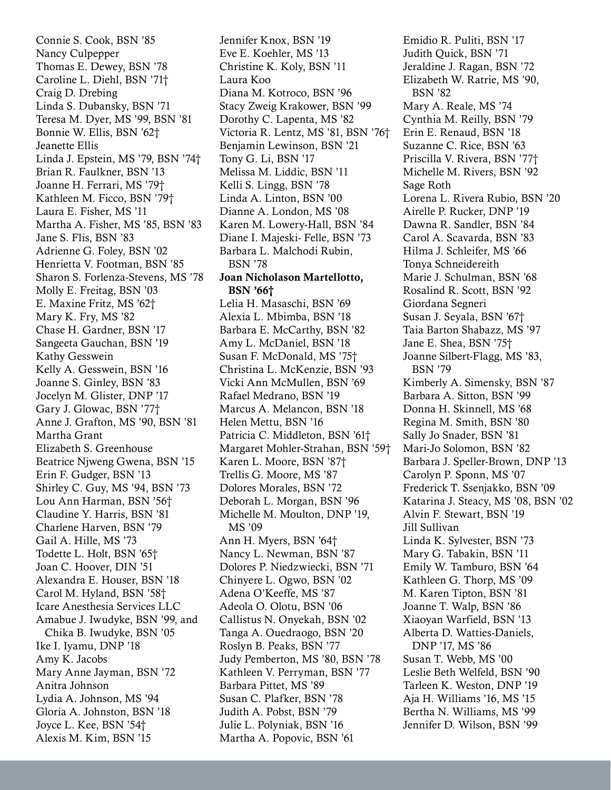Connie S. Cook, BSN '85 Nancy Culpepper Thomas E. Dewey, BSN '78 Caroline L. Diehl, BSN '71† Craig D. Drebing Linda S. Dubansky, BSN '71 Teresa M. Dyer, MS '99, BSN '81 Bonnie W. Ellis, BSN '62† Jeanette Ellis Linda J. Epstein, MS '79, BSN '74† Brian R. Faulkner, BSN '13 Joanne H. Ferrari, MS '79† Kathleen M. Ficco, BSN '79† Laura E. Fisher, MS '11 Martha A. Fisher, MS '85, BSN '83 Jane S. Flis, BSN '83 Adrienne G. Foley, BSN '02 Henrietta V. Footman, BSN '85 Sharon S. Forlenza-Stevens, MS '78 Molly E. Freitag, BSN '03 E. Maxine Fritz, MS '62† Mary K. Fry, MS '82 Chase H. Gardner, BSN '17 Sangeeta Gauchan, BSN '19 Kathy Gesswein Kelly A. Gesswein, BSN '16 Joanne S. Ginley, BSN '83 Jocelyn M. Glister, DNP '17 Gary J. Glowac, BSN '77† Anne J. Grafton, MS '90, BSN '81 Martha Grant Elizabeth S. Greenhouse Beatrice Njweng Gwena, BSN '15 Erin F. Gudger, BSN '13 Shirley C. Guy, MS '94, BSN '73 Lou Ann Harman, BSN '56† Claudine Y. Harris, BSN '81 Charlene Harven, BSN '79 Gail A. Hille, MS '73 Todette L. Holt, BSN '65† Joan C. Hoover, DIN '51 Alexandra E. Houser, BSN '18 Carol M. Hyland, BSN '58† Icare Anesthesia Services LLC Amabue J. Iwudyke, BSN '99, and Chika B. Iwudyke, BSN '05 Ike I. Iyamu, DNP '18 Amy K. Jacobs Mary Anne Jayman, BSN '72 Anitra Johnson Lydia A. Johnson, MS '94 Gloria A. Johnston, BSN '18 Joyce L. Kee, BSN '54† Alexis M. Kim, BSN '15

Jennifer Knox, BSN '19 Eve E. Koehler, MS '13 Christine K. Koly, BSN '11 Laura Koo Diana M. Kotroco, BSN '96 Stacy Zweig Krakower, BSN '99 Dorothy C. Lapenta, MS '82 Victoria R. Lentz, MS '81, BSN '76† Benjamin Lewinson, BSN '21 Tony G. Li, BSN '17 Melissa M. Liddic, BSN '11 Kelli S. Lingg, BSN '78 Linda A. Linton, BSN '00 Dianne A. London, MS '08 Karen M. Lowery-Hall, BSN '84 Diane I. Majeski- Felle, BSN '73 Barbara L. Malchodi Rubin, BSN '78 Joan Nicholason Martellotto, BSN '66† Lelia H. Masaschi, BSN '69 Alexia L. Mbimba, BSN '18 Barbara E. McCarthy, BSN '82 Amy L. McDaniel, BSN '18 Susan F. McDonald, MS '75† Christina L. McKenzie, BSN '93 Vicki Ann McMullen, BSN '69 Rafael Medrano, BSN '19 Marcus A. Melancon, BSN '18 Helen Mettu, BSN '16 Patricia C. Middleton, BSN '61† Margaret Mohler-Strahan, BSN '59† Karen L. Moore, BSN '87† Trellis G. Moore, MS '87 Dolores Morales, BSN '72 Deborah L. Morgan, BSN '96 Michelle M. Moulton, DNP '19, MS '09 Ann H. Myers, BSN '64† Nancy L. Newman, BSN '87 Dolores P. Niedzwiecki, BSN '71 Chinyere L. Ogwo, BSN '02 Adena O'Keeffe, MS '87 Adeola O. Olotu, BSN '06 Callistus N. Onyekah, BSN '02 Tanga A. Ouedraogo, BSN '20 Roslyn B. Peaks, BSN '77 Judy Pemberton, MS '80, BSN '78 Kathleen V. Perryman, BSN '77 Barbara Pittet, MS '89 Susan C. Plafker, BSN '78 Judith A. Pobst, BSN '79 Julie L. Polyniak, BSN '16 Martha A. Popovic, BSN '61

Emidio R. Puliti, BSN '17 Judith Quick, BSN '71 Jeraldine J. Ragan, BSN '72 Elizabeth W. Ratrie, MS '90, BSN '82 Mary A. Reale, MS '74 Cynthia M. Reilly, BSN '79 Erin E. Renaud, BSN '18 Suzanne C. Rice, BSN '63 Priscilla V. Rivera, BSN '77† Michelle M. Rivers, BSN '92 Sage Roth Lorena L. Rivera Rubio, BSN '20 Airelle P. Rucker, DNP '19 Dawna R. Sandler, BSN '84 Carol A. Scavarda, BSN '83 Hilma J. Schleifer, MS '66 Tonya Schneidereith Marie J. Schulman, BSN '68 Rosalind R. Scott, BSN '92 Giordana Segneri Susan J. Seyala, BSN '67† Taia Barton Shabazz, MS '97 Jane E. Shea, BSN '75† Joanne Silbert-Flagg, MS '83, BSN '79 Kimberly A. Simensky, BSN '87 Barbara A. Sitton, BSN '99 Donna H. Skinnell, MS '68 Regina M. Smith, BSN '80 Sally Jo Snader, BSN '81 Mari-Jo Solomon, BSN '82 Barbara J. Speller-Brown, DNP '13 Carolyn P. Sponn, MS '07 Frederick T. Ssenjakko, BSN '09 Katarina J. Steacy, MS '08, BSN '02 Alvin F. Stewart, BSN '19 Jill Sullivan Linda K. Sylvester, BSN '73 Mary G. Tabakin, BSN '11 Emily W. Tamburo, BSN '64 Kathleen G. Thorp, MS '09 M. Karen Tipton, BSN '81 Joanne T. Walp, BSN '86 Xiaoyan Warfield, BSN '13 Alberta D. Watties-Daniels, DNP '17, MS '86 Susan T. Webb, MS '00 Leslie Beth Welfeld, BSN '90 Tarleen K. Weston, DNP '19 Aja H. Williams '16, MS '15 Bertha N. Williams, MS '99 Jennifer D. Wilson, BSN '99